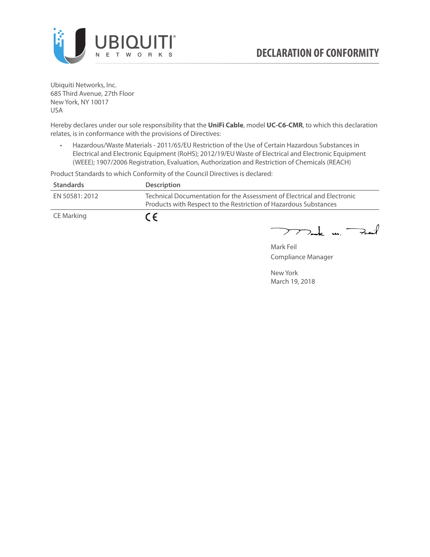

Ubiquiti Networks, Inc. 685 Third Avenue, 27th Floor New York, NY 10017 USA

Hereby declares under our sole responsibility that the **UniFi Cable**, model **UC-C6-CMR**, to which this declaration relates, is in conformance with the provisions of Directives:

• Hazardous/Waste Materials - 2011/65/EU Restriction of the Use of Certain Hazardous Substances in Electrical and Electronic Equipment (RoHS); 2012/19/EU Waste of Electrical and Electronic Equipment (WEEE); 1907/2006 Registration, Evaluation, Authorization and Restriction of Chemicals (REACH)

Product Standards to which Conformity of the Council Directives is declared:

| <b>Standards</b> | <b>Description</b>                                                                                                                          |
|------------------|---------------------------------------------------------------------------------------------------------------------------------------------|
| EN 50581: 2012   | Technical Documentation for the Assessment of Electrical and Electronic<br>Products with Respect to the Restriction of Hazardous Substances |
| CE Marking       | $\epsilon$                                                                                                                                  |

 $772$ ak m. Fail

Mark Feil Compliance Manager

New York March 19, 2018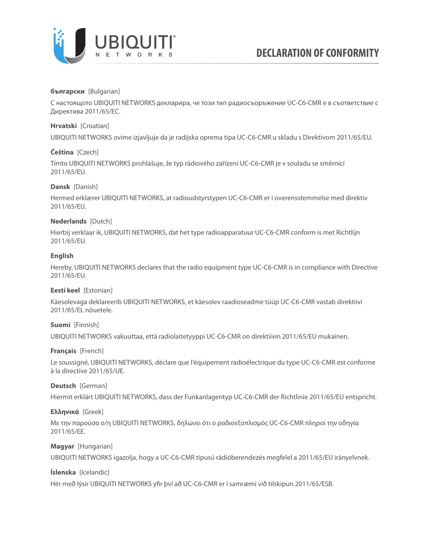

# **български** [Bulgarian]

С настоящото UBIQUITI NETWORKS декларира, че този тип радиосъоръжение UC-C6-CMR е в съответствие с Директива 2011/65/ЕС.

# **Hrvatski** [Croatian]

UBIQUITI NETWORKS ovime izjavljuje da je radijska oprema tipa UC-C6-CMR u skladu s Direktivom 2011/65/ЕU.

# **Čeština** [Czech]

Tímto UBIQUITI NETWORKS prohlašuje, že typ rádiového zařízení UC-C6-CMR je v souladu se směrnicí 2011/65/ЕU.

## **Dansk** [Danish]

Hermed erklærer UBIQUITI NETWORKS, at radioudstyrstypen UC-C6-CMR er i overensstemmelse med direktiv 2011/65/ЕU.

# **Nederlands** [Dutch]

Hierbij verklaar ik, UBIQUITI NETWORKS, dat het type radioapparatuur UC-C6-CMR conform is met Richtlijn 2011/65/ЕU.

## **English**

Hereby, UBIQUITI NETWORKS declares that the radio equipment type UC-C6-CMR is in compliance with Directive 2011/65/ЕU.

## **Eesti keel** [Estonian]

Käesolevaga deklareerib UBIQUITI NETWORKS, et käesolev raadioseadme tüüp UC-C6-CMR vastab direktiivi 2011/65/EL nõuetele.

# **Suomi** [Finnish]

UBIQUITI NETWORKS vakuuttaa, että radiolaitetyyppi UC-C6-CMR on direktiivin 2011/65/EU mukainen.

## **Français** [French]

Le soussigné, UBIQUITI NETWORKS, déclare que l'équipement radioélectrique du type UC-C6-CMR est conforme à la directive 2011/65/UE.

## **Deutsch** [German]

Hiermit erklärt UBIQUITI NETWORKS, dass der Funkanlagentyp UC-C6-CMR der Richtlinie 2011/65/EU entspricht.

## **Ελληνικά** [Greek]

Με την παρούσα ο/η UBIQUITI NETWORKS, δηλώνει ότι ο ραδιοεξοπλισμός UC-C6-CMR πληροί την οδηγία 2011/65/EE.

## **Magyar** [Hungarian]

UBIQUITI NETWORKS igazolja, hogy a UC-C6-CMR típusú rádióberendezés megfelel a 2011/65/EU irányelvnek.

## **Íslenska** [Icelandic]

Hér með lýsir UBIQUITI NETWORKS yfir því að UC-C6-CMR er í samræmi við tilskipun 2011/65/ESB.